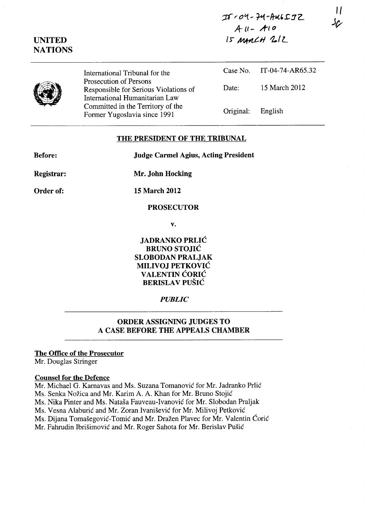$I$  $I$  $I$  $O$  $V$ - $I$  $V$  $A$  $u$  $b$  $L$  $J$  $Z$  $A$ 11 -  $A$ 10  $15$  MAMLH  $212$ 

*11* 

*)1/* 



UNITED



International Tribunal for the Prosecution of Persons Responsible for Serious Violations of International Humanitarian Law Committed in the Territory of the Former Yugoslavia since 1991

|                   | Case No. IT-04-74-AR65.32 |
|-------------------|---------------------------|
| Date:             | 15 March 2012             |
| Original: English |                           |

### THE PRESIDENT OF THE TRIBUNAL

Before:

Judge Carmel Agius, Acting President

Mr. John Hocking

Order of:

Registrar:

15 March 2012

# PROSECUTOR

v.

JADRANKO PRLIC BRUNO STOJIC SLOBODAN PRALJAK MILIVOJ PETKOVIC VALENTIN ĆORIĆ BERISLAV PUŠIĆ

## *PUBLIC*

# ORDER ASSIGNING JUDGES TO A CASE BEFORE THE APPEALS CHAMBER

## The Office of the Prosecutor

Mr. Douglas Stringer

### Counsel for the Defence

Mr. Michael G. Karnavas and Ms. Suzana Tomanović for Mr. Jadranko Prlić Ms. Senka Nožica and Mr. Karim A. A. Khan for Mr. Bruno Stojić Ms. Nika Pinter and Ms. Natasa Fauveau-Ivanovie for Mr. Slobodan Praljak Ms. Vesna Alaburić and Mr. Zoran Ivanišević for Mr. Milivoj Petković Ms. Dijana Tomašegović-Tomić and Mr. Dražen Plavec for Mr. Valentin Ćorić Mr. Fahrudin Ibrišimović and Mr. Roger Sahota for Mr. Berislav Pušić